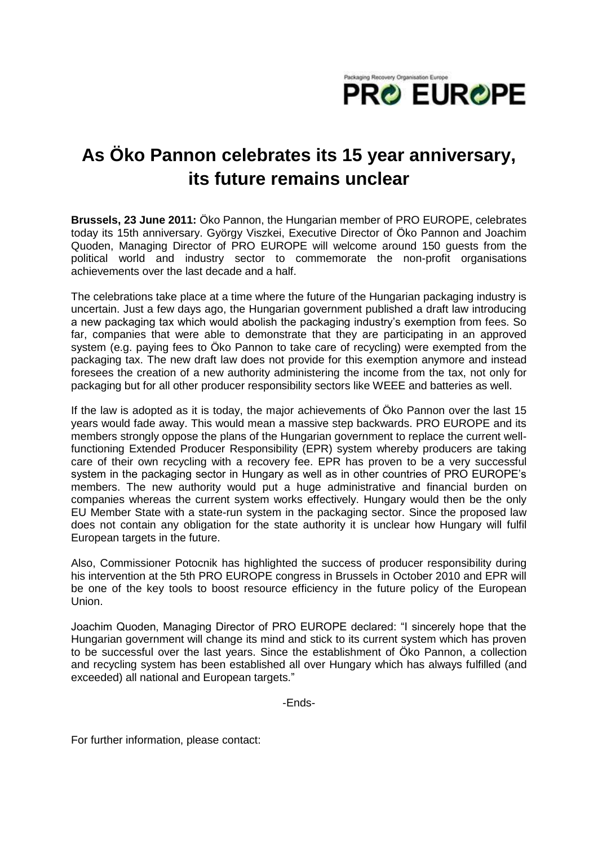

## **As Öko Pannon celebrates its 15 year anniversary, its future remains unclear**

**Brussels, 23 June 2011:** Öko Pannon, the Hungarian member of PRO EUROPE, celebrates today its 15th anniversary. György Viszkei, Executive Director of Öko Pannon and Joachim Quoden, Managing Director of PRO EUROPE will welcome around 150 guests from the political world and industry sector to commemorate the non-profit organisations achievements over the last decade and a half.

The celebrations take place at a time where the future of the Hungarian packaging industry is uncertain. Just a few days ago, the Hungarian government published a draft law introducing a new packaging tax which would abolish the packaging industry's exemption from fees. So far, companies that were able to demonstrate that they are participating in an approved system (e.g. paying fees to Öko Pannon to take care of recycling) were exempted from the packaging tax. The new draft law does not provide for this exemption anymore and instead foresees the creation of a new authority administering the income from the tax, not only for packaging but for all other producer responsibility sectors like WEEE and batteries as well.

If the law is adopted as it is today, the major achievements of Öko Pannon over the last 15 years would fade away. This would mean a massive step backwards. PRO EUROPE and its members strongly oppose the plans of the Hungarian government to replace the current wellfunctioning Extended Producer Responsibility (EPR) system whereby producers are taking care of their own recycling with a recovery fee. EPR has proven to be a very successful system in the packaging sector in Hungary as well as in other countries of PRO EUROPE's members. The new authority would put a huge administrative and financial burden on companies whereas the current system works effectively. Hungary would then be the only EU Member State with a state-run system in the packaging sector. Since the proposed law does not contain any obligation for the state authority it is unclear how Hungary will fulfil European targets in the future.

Also, Commissioner Potocnik has highlighted the success of producer responsibility during his intervention at the 5th PRO EUROPE congress in Brussels in October 2010 and EPR will be one of the key tools to boost resource efficiency in the future policy of the European Union.

Joachim Quoden, Managing Director of PRO EUROPE declared: "I sincerely hope that the Hungarian government will change its mind and stick to its current system which has proven to be successful over the last years. Since the establishment of Öko Pannon, a collection and recycling system has been established all over Hungary which has always fulfilled (and exceeded) all national and European targets."

-Ends-

For further information, please contact: